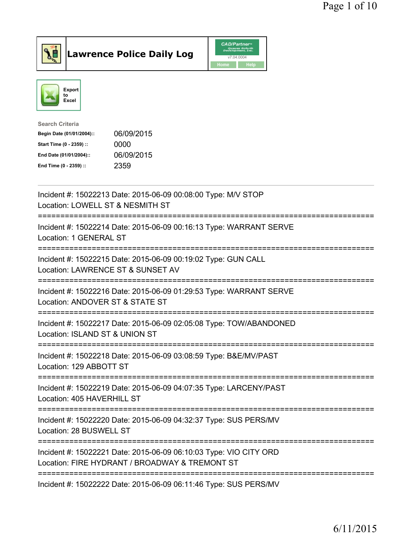



| Search Criteria           |            |
|---------------------------|------------|
| Begin Date (01/01/2004):: | 06/09/2015 |
| Start Time (0 - 2359) ::  | 0000       |
| End Date (01/01/2004)::   | 06/09/2015 |
| End Time (0 - 2359) ::    | 2359       |

| Incident #: 15022213 Date: 2015-06-09 00:08:00 Type: M/V STOP<br>Location: LOWELL ST & NESMITH ST<br>====================          |
|------------------------------------------------------------------------------------------------------------------------------------|
| Incident #: 15022214 Date: 2015-06-09 00:16:13 Type: WARRANT SERVE<br>Location: 1 GENERAL ST<br>:=============================     |
| Incident #: 15022215 Date: 2015-06-09 00:19:02 Type: GUN CALL<br>Location: LAWRENCE ST & SUNSET AV<br>:======================      |
| Incident #: 15022216 Date: 2015-06-09 01:29:53 Type: WARRANT SERVE<br>Location: ANDOVER ST & STATE ST                              |
| Incident #: 15022217 Date: 2015-06-09 02:05:08 Type: TOW/ABANDONED<br>Location: ISLAND ST & UNION ST<br>:========================= |
| Incident #: 15022218 Date: 2015-06-09 03:08:59 Type: B&E/MV/PAST<br>Location: 129 ABBOTT ST                                        |
| Incident #: 15022219 Date: 2015-06-09 04:07:35 Type: LARCENY/PAST<br>Location: 405 HAVERHILL ST                                    |
| Incident #: 15022220 Date: 2015-06-09 04:32:37 Type: SUS PERS/MV<br>Location: 28 BUSWELL ST                                        |
| Incident #: 15022221 Date: 2015-06-09 06:10:03 Type: VIO CITY ORD<br>Location: FIRE HYDRANT / BROADWAY & TREMONT ST                |
| Incident #: 15022222 Date: 2015-06-09 06:11:46 Type: SUS PERS/MV                                                                   |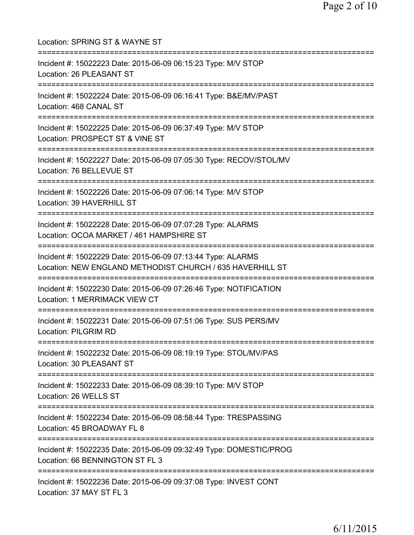Location: SPRING ST & WAYNE ST =========================================================================== Incident #: 15022223 Date: 2015-06-09 06:15:23 Type: M/V STOP Location: 26 PLEASANT ST =========================================================================== Incident #: 15022224 Date: 2015-06-09 06:16:41 Type: B&E/MV/PAST Location: 468 CANAL ST =========================================================================== Incident #: 15022225 Date: 2015-06-09 06:37:49 Type: M/V STOP Location: PROSPECT ST & VINE ST =========================================================================== Incident #: 15022227 Date: 2015-06-09 07:05:30 Type: RECOV/STOL/MV Location: 76 BELLEVUE ST =========================================================================== Incident #: 15022226 Date: 2015-06-09 07:06:14 Type: M/V STOP Location: 39 HAVERHILL ST =========================================================================== Incident #: 15022228 Date: 2015-06-09 07:07:28 Type: ALARMS Location: OCOA MARKET / 461 HAMPSHIRE ST =========================================================================== Incident #: 15022229 Date: 2015-06-09 07:13:44 Type: ALARMS Location: NEW ENGLAND METHODIST CHURCH / 635 HAVERHILL ST =========================================================================== Incident #: 15022230 Date: 2015-06-09 07:26:46 Type: NOTIFICATION Location: 1 MERRIMACK VIEW CT =========================================================================== Incident #: 15022231 Date: 2015-06-09 07:51:06 Type: SUS PERS/MV Location: PILGRIM RD =========================================================================== Incident #: 15022232 Date: 2015-06-09 08:19:19 Type: STOL/MV/PAS Location: 30 PLEASANT ST =========================================================================== Incident #: 15022233 Date: 2015-06-09 08:39:10 Type: M/V STOP Location: 26 WELLS ST =========================================================================== Incident #: 15022234 Date: 2015-06-09 08:58:44 Type: TRESPASSING Location: 45 BROADWAY FL 8 =========================================================================== Incident #: 15022235 Date: 2015-06-09 09:32:49 Type: DOMESTIC/PROG Location: 66 BENNINGTON ST FL 3 =========================================================================== Incident #: 15022236 Date: 2015-06-09 09:37:08 Type: INVEST CONT Location: 37 MAY ST FL 3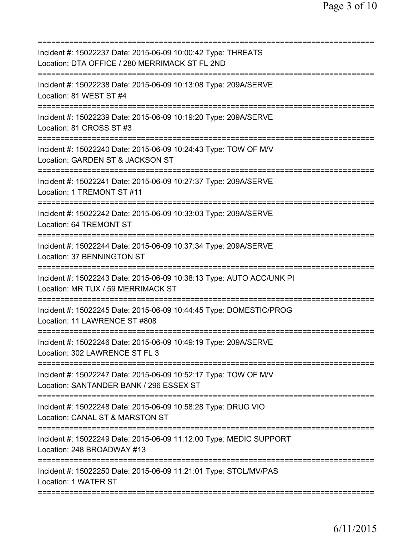| Incident #: 15022237 Date: 2015-06-09 10:00:42 Type: THREATS<br>Location: DTA OFFICE / 280 MERRIMACK ST FL 2ND                                    |
|---------------------------------------------------------------------------------------------------------------------------------------------------|
| Incident #: 15022238 Date: 2015-06-09 10:13:08 Type: 209A/SERVE<br>Location: 81 WEST ST #4                                                        |
| Incident #: 15022239 Date: 2015-06-09 10:19:20 Type: 209A/SERVE<br>Location: 81 CROSS ST #3                                                       |
| Incident #: 15022240 Date: 2015-06-09 10:24:43 Type: TOW OF M/V<br>Location: GARDEN ST & JACKSON ST                                               |
| Incident #: 15022241 Date: 2015-06-09 10:27:37 Type: 209A/SERVE<br>Location: 1 TREMONT ST #11                                                     |
| Incident #: 15022242 Date: 2015-06-09 10:33:03 Type: 209A/SERVE<br>Location: 64 TREMONT ST                                                        |
| Incident #: 15022244 Date: 2015-06-09 10:37:34 Type: 209A/SERVE<br>Location: 37 BENNINGTON ST                                                     |
| :==================================<br>Incident #: 15022243 Date: 2015-06-09 10:38:13 Type: AUTO ACC/UNK PI<br>Location: MR TUX / 59 MERRIMACK ST |
| Incident #: 15022245 Date: 2015-06-09 10:44:45 Type: DOMESTIC/PROG<br>Location: 11 LAWRENCE ST #808                                               |
| Incident #: 15022246 Date: 2015-06-09 10:49:19 Type: 209A/SERVE<br>Location: 302 LAWRENCE ST FL 3                                                 |
| Incident #: 15022247 Date: 2015-06-09 10:52:17 Type: TOW OF M/V<br>Location: SANTANDER BANK / 296 ESSEX ST<br>=============================       |
| Incident #: 15022248 Date: 2015-06-09 10:58:28 Type: DRUG VIO<br>Location: CANAL ST & MARSTON ST                                                  |
| Incident #: 15022249 Date: 2015-06-09 11:12:00 Type: MEDIC SUPPORT<br>Location: 248 BROADWAY #13                                                  |
| Incident #: 15022250 Date: 2015-06-09 11:21:01 Type: STOL/MV/PAS<br>Location: 1 WATER ST                                                          |
|                                                                                                                                                   |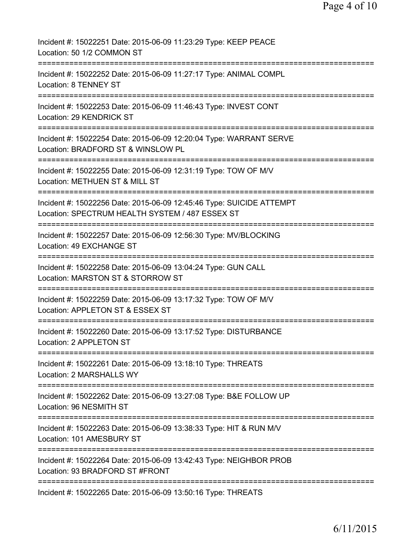| Incident #: 15022251 Date: 2015-06-09 11:23:29 Type: KEEP PEACE<br>Location: 50 1/2 COMMON ST                                                                       |
|---------------------------------------------------------------------------------------------------------------------------------------------------------------------|
| Incident #: 15022252 Date: 2015-06-09 11:27:17 Type: ANIMAL COMPL<br>Location: 8 TENNEY ST                                                                          |
| Incident #: 15022253 Date: 2015-06-09 11:46:43 Type: INVEST CONT<br>Location: 29 KENDRICK ST                                                                        |
| Incident #: 15022254 Date: 2015-06-09 12:20:04 Type: WARRANT SERVE<br>Location: BRADFORD ST & WINSLOW PL                                                            |
| Incident #: 15022255 Date: 2015-06-09 12:31:19 Type: TOW OF M/V<br>Location: METHUEN ST & MILL ST                                                                   |
| =========================<br>-----------<br>Incident #: 15022256 Date: 2015-06-09 12:45:46 Type: SUICIDE ATTEMPT<br>Location: SPECTRUM HEALTH SYSTEM / 487 ESSEX ST |
| ;===================================<br>Incident #: 15022257 Date: 2015-06-09 12:56:30 Type: MV/BLOCKING<br>Location: 49 EXCHANGE ST                                |
| ==================================<br>Incident #: 15022258 Date: 2015-06-09 13:04:24 Type: GUN CALL<br>Location: MARSTON ST & STORROW ST                            |
| Incident #: 15022259 Date: 2015-06-09 13:17:32 Type: TOW OF M/V<br>Location: APPLETON ST & ESSEX ST                                                                 |
| Incident #: 15022260 Date: 2015-06-09 13:17:52 Type: DISTURBANCE<br>Location: 2 APPLETON ST                                                                         |
| Incident #: 15022261 Date: 2015-06-09 13:18:10 Type: THREATS<br>Location: 2 MARSHALLS WY                                                                            |
| Incident #: 15022262 Date: 2015-06-09 13:27:08 Type: B&E FOLLOW UP<br>Location: 96 NESMITH ST                                                                       |
| Incident #: 15022263 Date: 2015-06-09 13:38:33 Type: HIT & RUN M/V<br>Location: 101 AMESBURY ST                                                                     |
| Incident #: 15022264 Date: 2015-06-09 13:42:43 Type: NEIGHBOR PROB<br>Location: 93 BRADFORD ST #FRONT                                                               |
| Incident #: 15022265 Date: 2015-06-09 13:50:16 Type: THREATS                                                                                                        |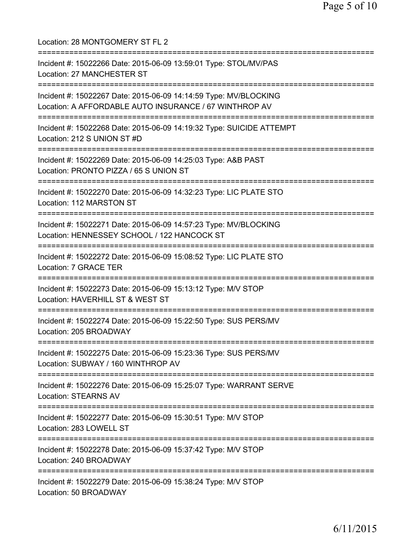Location: 28 MONTGOMERY ST FL 2 =========================================================================== Incident #: 15022266 Date: 2015-06-09 13:59:01 Type: STOL/MV/PAS Location: 27 MANCHESTER ST =========================================================================== Incident #: 15022267 Date: 2015-06-09 14:14:59 Type: MV/BLOCKING Location: A AFFORDABLE AUTO INSURANCE / 67 WINTHROP AV =========================================================================== Incident #: 15022268 Date: 2015-06-09 14:19:32 Type: SUICIDE ATTEMPT Location: 212 S UNION ST #D =========================================================================== Incident #: 15022269 Date: 2015-06-09 14:25:03 Type: A&B PAST Location: PRONTO PIZZA / 65 S UNION ST =========================================================================== Incident #: 15022270 Date: 2015-06-09 14:32:23 Type: LIC PLATE STO Location: 112 MARSTON ST =========================================================================== Incident #: 15022271 Date: 2015-06-09 14:57:23 Type: MV/BLOCKING Location: HENNESSEY SCHOOL / 122 HANCOCK ST =========================================================================== Incident #: 15022272 Date: 2015-06-09 15:08:52 Type: LIC PLATE STO Location: 7 GRACE TER =========================================================================== Incident #: 15022273 Date: 2015-06-09 15:13:12 Type: M/V STOP Location: HAVERHILL ST & WEST ST =========================================================================== Incident #: 15022274 Date: 2015-06-09 15:22:50 Type: SUS PERS/MV Location: 205 BROADWAY =========================================================================== Incident #: 15022275 Date: 2015-06-09 15:23:36 Type: SUS PERS/MV Location: SUBWAY / 160 WINTHROP AV =========================================================================== Incident #: 15022276 Date: 2015-06-09 15:25:07 Type: WARRANT SERVE Location: STEARNS AV =========================================================================== Incident #: 15022277 Date: 2015-06-09 15:30:51 Type: M/V STOP Location: 283 LOWELL ST =========================================================================== Incident #: 15022278 Date: 2015-06-09 15:37:42 Type: M/V STOP Location: 240 BROADWAY =========================================================================== Incident #: 15022279 Date: 2015-06-09 15:38:24 Type: M/V STOP Location: 50 BROADWAY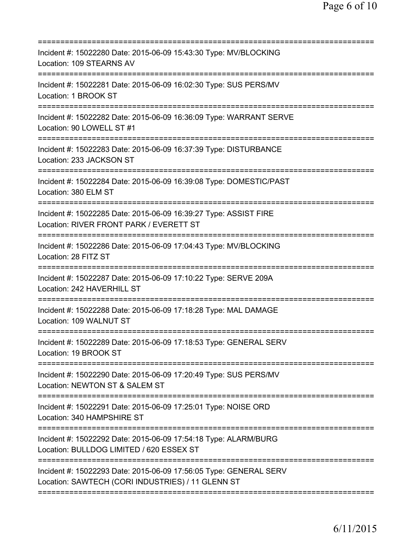| Incident #: 15022280 Date: 2015-06-09 15:43:30 Type: MV/BLOCKING<br>Location: 109 STEARNS AV                                                   |
|------------------------------------------------------------------------------------------------------------------------------------------------|
| Incident #: 15022281 Date: 2015-06-09 16:02:30 Type: SUS PERS/MV<br>Location: 1 BROOK ST                                                       |
| Incident #: 15022282 Date: 2015-06-09 16:36:09 Type: WARRANT SERVE<br>Location: 90 LOWELL ST #1                                                |
| Incident #: 15022283 Date: 2015-06-09 16:37:39 Type: DISTURBANCE<br>Location: 233 JACKSON ST                                                   |
| Incident #: 15022284 Date: 2015-06-09 16:39:08 Type: DOMESTIC/PAST<br>Location: 380 ELM ST                                                     |
| Incident #: 15022285 Date: 2015-06-09 16:39:27 Type: ASSIST FIRE<br>Location: RIVER FRONT PARK / EVERETT ST<br>=============================== |
| Incident #: 15022286 Date: 2015-06-09 17:04:43 Type: MV/BLOCKING<br>Location: 28 FITZ ST                                                       |
| Incident #: 15022287 Date: 2015-06-09 17:10:22 Type: SERVE 209A<br>Location: 242 HAVERHILL ST                                                  |
| Incident #: 15022288 Date: 2015-06-09 17:18:28 Type: MAL DAMAGE<br>Location: 109 WALNUT ST                                                     |
| Incident #: 15022289 Date: 2015-06-09 17:18:53 Type: GENERAL SERV<br>Location: 19 BROOK ST                                                     |
| Incident #: 15022290 Date: 2015-06-09 17:20:49 Type: SUS PERS/MV<br>Location: NEWTON ST & SALEM ST                                             |
| Incident #: 15022291 Date: 2015-06-09 17:25:01 Type: NOISE ORD<br>Location: 340 HAMPSHIRE ST                                                   |
| Incident #: 15022292 Date: 2015-06-09 17:54:18 Type: ALARM/BURG<br>Location: BULLDOG LIMITED / 620 ESSEX ST                                    |
| Incident #: 15022293 Date: 2015-06-09 17:56:05 Type: GENERAL SERV<br>Location: SAWTECH (CORI INDUSTRIES) / 11 GLENN ST                         |
|                                                                                                                                                |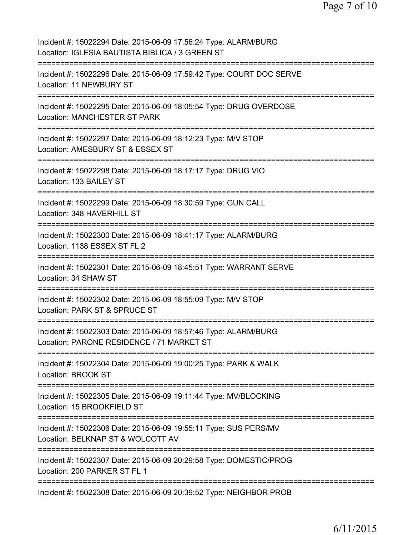| Incident #: 15022294 Date: 2015-06-09 17:56:24 Type: ALARM/BURG<br>Location: IGLESIA BAUTISTA BIBLICA / 3 GREEN ST                  |
|-------------------------------------------------------------------------------------------------------------------------------------|
| Incident #: 15022296 Date: 2015-06-09 17:59:42 Type: COURT DOC SERVE<br>Location: 11 NEWBURY ST                                     |
| Incident #: 15022295 Date: 2015-06-09 18:05:54 Type: DRUG OVERDOSE<br><b>Location: MANCHESTER ST PARK</b>                           |
| Incident #: 15022297 Date: 2015-06-09 18:12:23 Type: M/V STOP<br>Location: AMESBURY ST & ESSEX ST                                   |
| Incident #: 15022298 Date: 2015-06-09 18:17:17 Type: DRUG VIO<br>Location: 133 BAILEY ST                                            |
| Incident #: 15022299 Date: 2015-06-09 18:30:59 Type: GUN CALL<br>Location: 348 HAVERHILL ST<br>:=================================== |
| Incident #: 15022300 Date: 2015-06-09 18:41:17 Type: ALARM/BURG<br>Location: 1138 ESSEX ST FL 2<br>==============                   |
| Incident #: 15022301 Date: 2015-06-09 18:45:51 Type: WARRANT SERVE<br>Location: 34 SHAW ST                                          |
| Incident #: 15022302 Date: 2015-06-09 18:55:09 Type: M/V STOP<br>Location: PARK ST & SPRUCE ST                                      |
| Incident #: 15022303 Date: 2015-06-09 18:57:46 Type: ALARM/BURG<br>Location: PARONE RESIDENCE / 71 MARKET ST                        |
| Incident #: 15022304 Date: 2015-06-09 19:00:25 Type: PARK & WALK<br>Location: BROOK ST                                              |
| Incident #: 15022305 Date: 2015-06-09 19:11:44 Type: MV/BLOCKING<br>Location: 15 BROOKFIELD ST                                      |
| Incident #: 15022306 Date: 2015-06-09 19:55:11 Type: SUS PERS/MV<br>Location: BELKNAP ST & WOLCOTT AV                               |
| Incident #: 15022307 Date: 2015-06-09 20:29:58 Type: DOMESTIC/PROG<br>Location: 200 PARKER ST FL 1                                  |
| Incident #: 15022308 Date: 2015-06-09 20:39:52 Type: NEIGHBOR PROB                                                                  |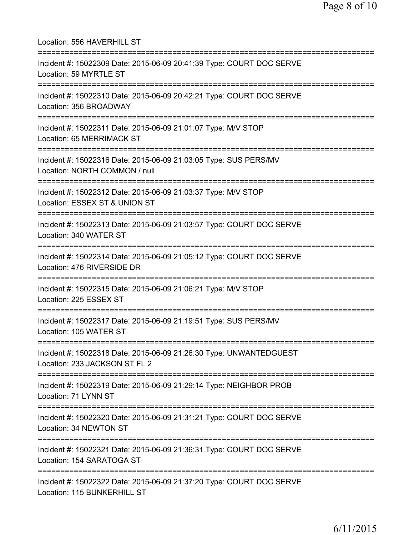| Location: 556 HAVERHILL ST                                                                                                            |
|---------------------------------------------------------------------------------------------------------------------------------------|
| Incident #: 15022309 Date: 2015-06-09 20:41:39 Type: COURT DOC SERVE<br>Location: 59 MYRTLE ST<br>===========================         |
| Incident #: 15022310 Date: 2015-06-09 20:42:21 Type: COURT DOC SERVE<br>Location: 356 BROADWAY<br>===============================     |
| Incident #: 15022311 Date: 2015-06-09 21:01:07 Type: M/V STOP<br>Location: 65 MERRIMACK ST<br>===============================         |
| Incident #: 15022316 Date: 2015-06-09 21:03:05 Type: SUS PERS/MV<br>Location: NORTH COMMON / null                                     |
| Incident #: 15022312 Date: 2015-06-09 21:03:37 Type: M/V STOP<br>Location: ESSEX ST & UNION ST                                        |
| Incident #: 15022313 Date: 2015-06-09 21:03:57 Type: COURT DOC SERVE<br>Location: 340 WATER ST                                        |
| Incident #: 15022314 Date: 2015-06-09 21:05:12 Type: COURT DOC SERVE<br>Location: 476 RIVERSIDE DR<br>.============================== |
| Incident #: 15022315 Date: 2015-06-09 21:06:21 Type: M/V STOP<br>Location: 225 ESSEX ST<br>========================                   |
| Incident #: 15022317 Date: 2015-06-09 21:19:51 Type: SUS PERS/MV<br>Location: 105 WATER ST                                            |
| =========================<br>Incident #: 15022318 Date: 2015-06-09 21:26:30 Type: UNWANTEDGUEST<br>Location: 233 JACKSON ST FL 2      |
| Incident #: 15022319 Date: 2015-06-09 21:29:14 Type: NEIGHBOR PROB<br>Location: 71 LYNN ST                                            |
| Incident #: 15022320 Date: 2015-06-09 21:31:21 Type: COURT DOC SERVE<br>Location: 34 NEWTON ST                                        |
| Incident #: 15022321 Date: 2015-06-09 21:36:31 Type: COURT DOC SERVE<br>Location: 154 SARATOGA ST                                     |
| Incident #: 15022322 Date: 2015-06-09 21:37:20 Type: COURT DOC SERVE<br>Location: 115 BUNKERHILL ST                                   |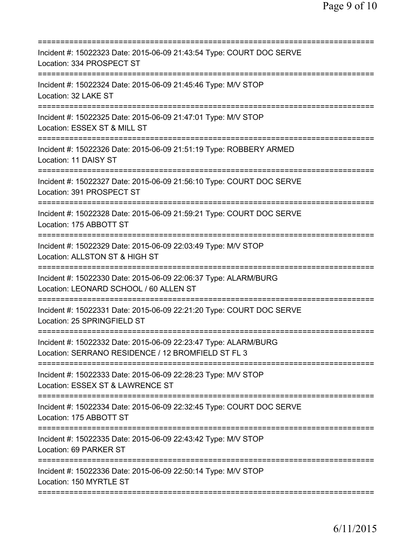| Incident #: 15022323 Date: 2015-06-09 21:43:54 Type: COURT DOC SERVE<br>Location: 334 PROSPECT ST                                    |
|--------------------------------------------------------------------------------------------------------------------------------------|
| Incident #: 15022324 Date: 2015-06-09 21:45:46 Type: M/V STOP<br>Location: 32 LAKE ST                                                |
| Incident #: 15022325 Date: 2015-06-09 21:47:01 Type: M/V STOP<br>Location: ESSEX ST & MILL ST                                        |
| Incident #: 15022326 Date: 2015-06-09 21:51:19 Type: ROBBERY ARMED<br>Location: 11 DAISY ST                                          |
| Incident #: 15022327 Date: 2015-06-09 21:56:10 Type: COURT DOC SERVE<br>Location: 391 PROSPECT ST                                    |
| Incident #: 15022328 Date: 2015-06-09 21:59:21 Type: COURT DOC SERVE<br>Location: 175 ABBOTT ST                                      |
| =================================<br>Incident #: 15022329 Date: 2015-06-09 22:03:49 Type: M/V STOP<br>Location: ALLSTON ST & HIGH ST |
| Incident #: 15022330 Date: 2015-06-09 22:06:37 Type: ALARM/BURG<br>Location: LEONARD SCHOOL / 60 ALLEN ST                            |
| Incident #: 15022331 Date: 2015-06-09 22:21:20 Type: COURT DOC SERVE<br>Location: 25 SPRINGFIELD ST                                  |
| Incident #: 15022332 Date: 2015-06-09 22:23:47 Type: ALARM/BURG<br>Location: SERRANO RESIDENCE / 12 BROMFIELD ST FL 3                |
| Incident #: 15022333 Date: 2015-06-09 22:28:23 Type: M/V STOP<br>Location: ESSEX ST & LAWRENCE ST                                    |
| Incident #: 15022334 Date: 2015-06-09 22:32:45 Type: COURT DOC SERVE<br>Location: 175 ABBOTT ST                                      |
| Incident #: 15022335 Date: 2015-06-09 22:43:42 Type: M/V STOP<br>Location: 69 PARKER ST                                              |
| Incident #: 15022336 Date: 2015-06-09 22:50:14 Type: M/V STOP<br>Location: 150 MYRTLE ST                                             |
|                                                                                                                                      |